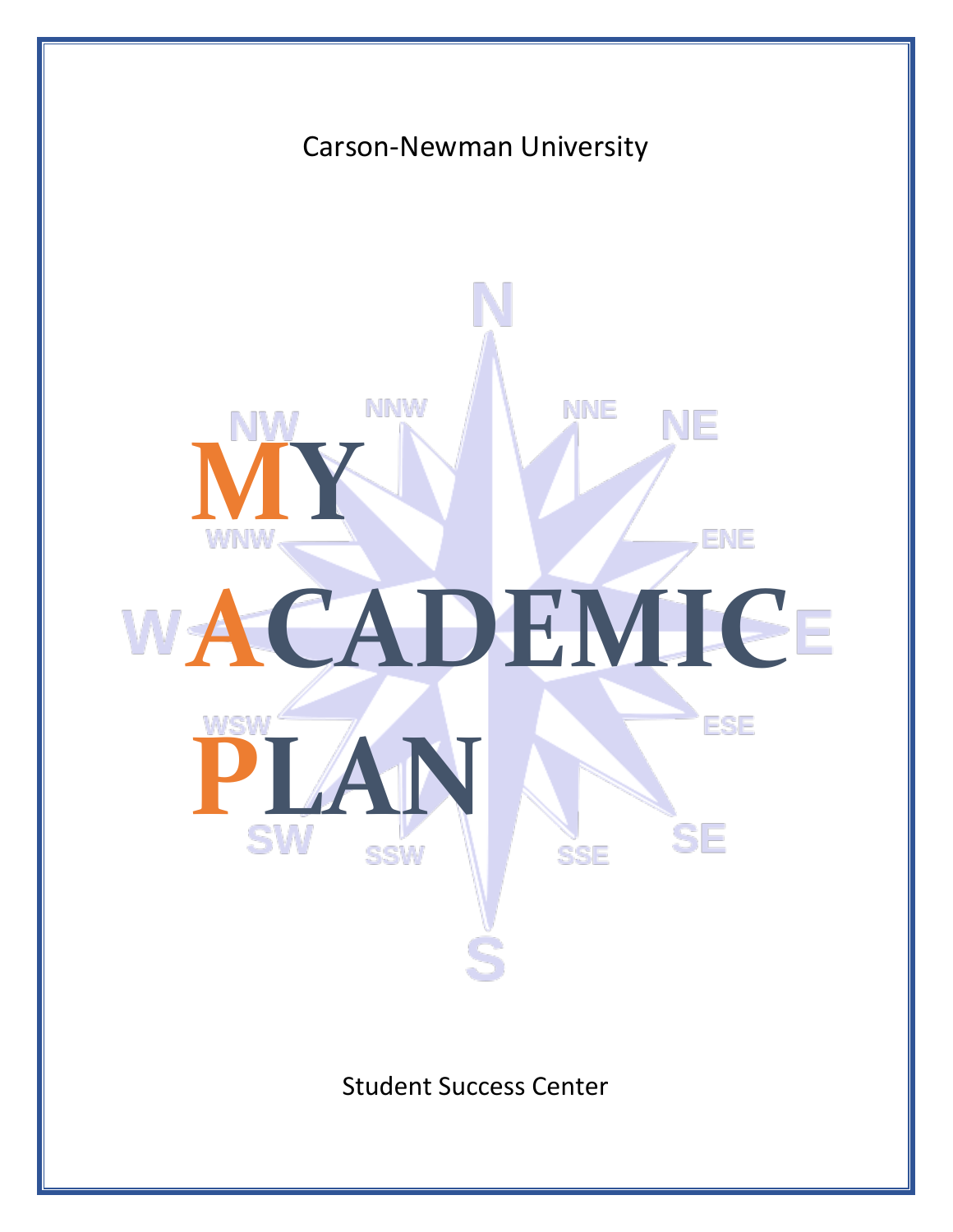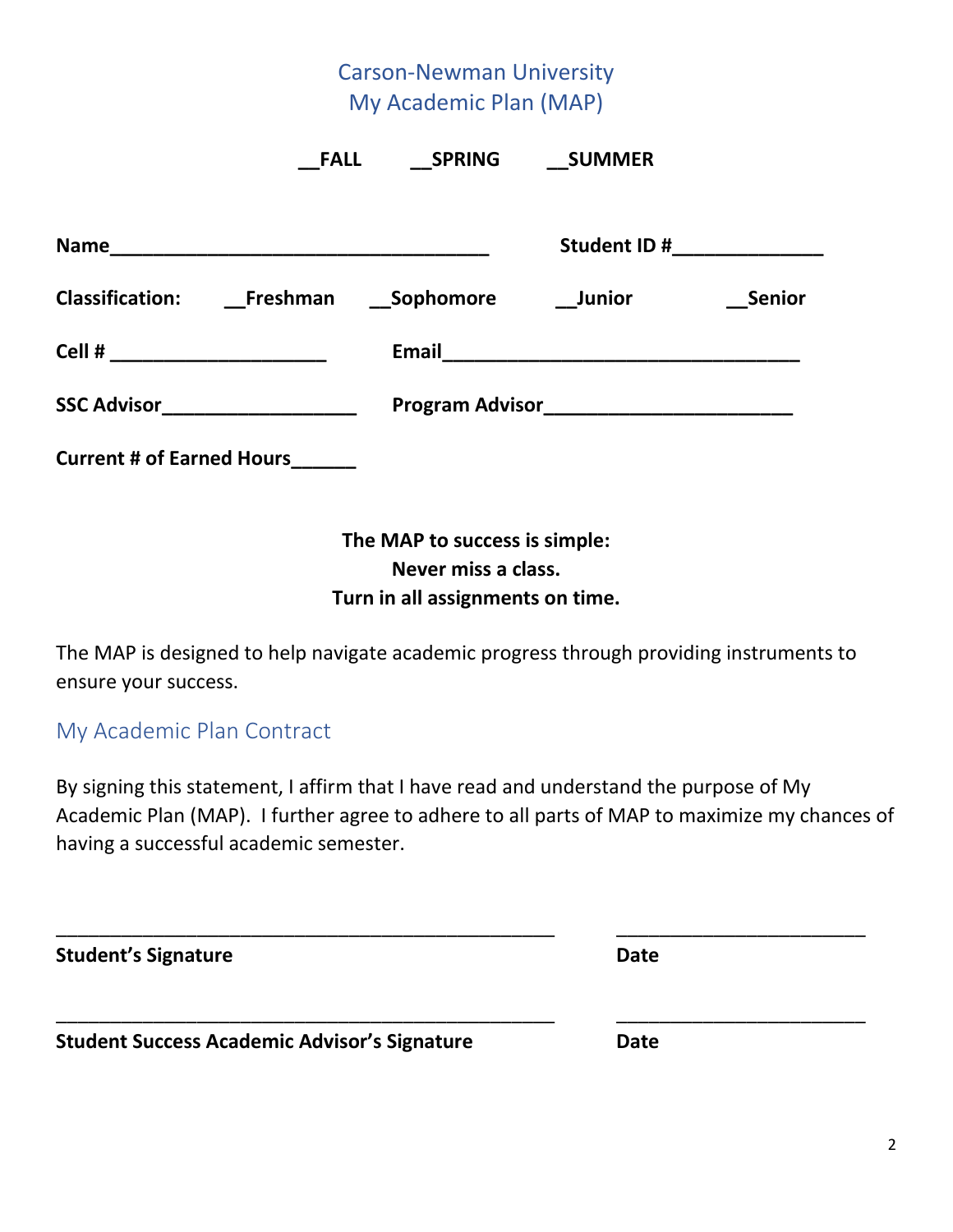# Carson-Newman University My Academic Plan (MAP)

|                                  | <b>FALL</b>               | <b>SPRING</b> | _SUMMER                                |               |
|----------------------------------|---------------------------|---------------|----------------------------------------|---------------|
|                                  |                           |               |                                        |               |
|                                  |                           |               |                                        |               |
|                                  |                           |               |                                        |               |
| <b>Classification:</b>           | <b>Freshman</b> Sophomore |               | Junior                                 | <b>Senior</b> |
| Cell # _______________________   |                           |               |                                        |               |
| SSC Advisor <b>SSC Advisor</b>   |                           |               | <b>Program Advisor</b> Program Advisor |               |
| <b>Current # of Earned Hours</b> |                           |               |                                        |               |

#### **The MAP to success is simple: Never miss a class. Turn in all assignments on time.**

The MAP is designed to help navigate academic progress through providing instruments to ensure your success.

My Academic Plan Contract

By signing this statement, I affirm that I have read and understand the purpose of My Academic Plan (MAP). I further agree to adhere to all parts of MAP to maximize my chances of having a successful academic semester.

| <b>Student's Signature</b>                          | <b>Date</b> |  |
|-----------------------------------------------------|-------------|--|
| <b>Student Success Academic Advisor's Signature</b> | <b>Date</b> |  |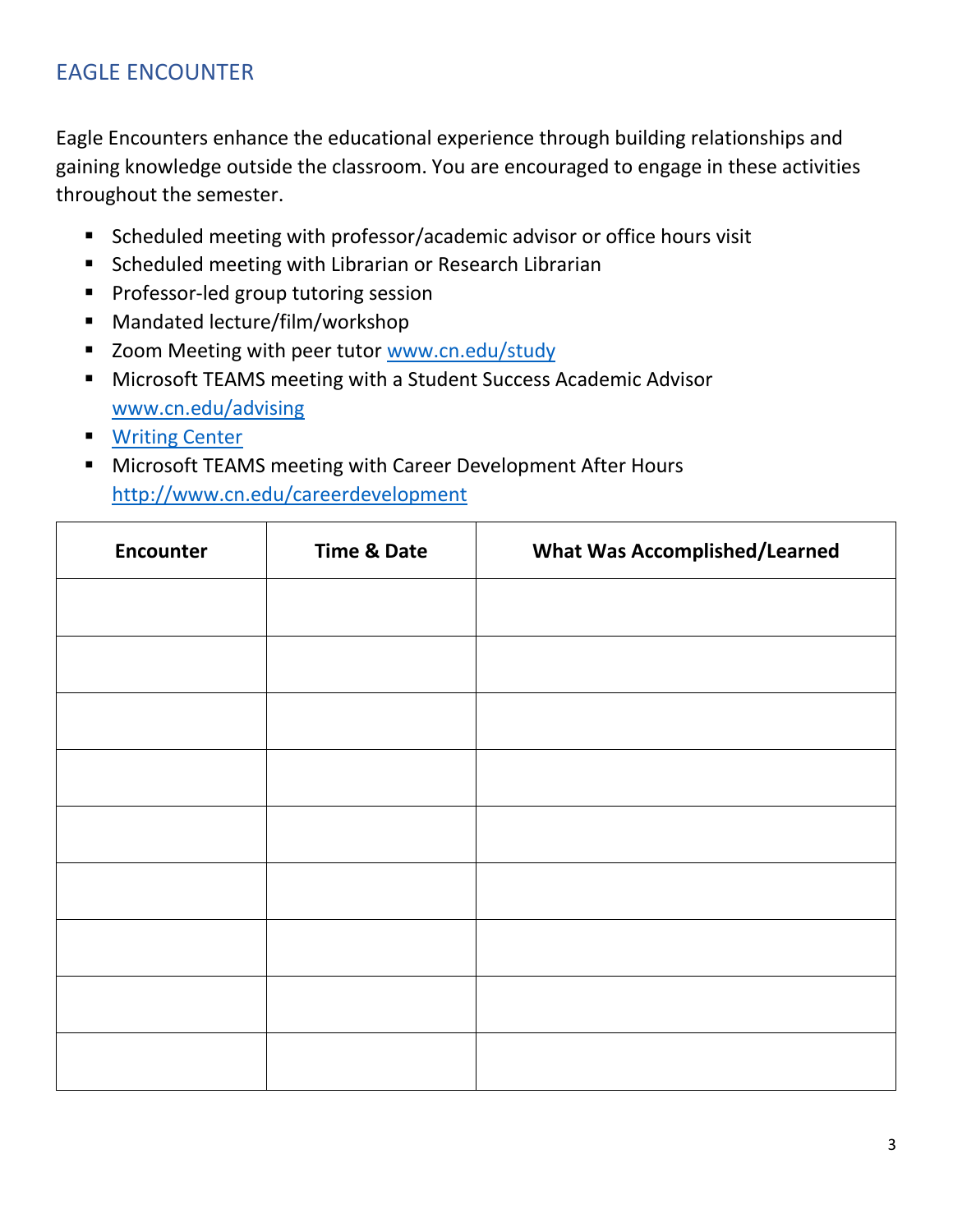### EAGLE ENCOUNTER

Eagle Encounters enhance the educational experience through building relationships and gaining knowledge outside the classroom. You are encouraged to engage in these activities throughout the semester.

- Scheduled meeting with professor/academic advisor or office hours visit
- Scheduled meeting with Librarian or Research Librarian
- Professor-led group tutoring session
- Mandated lecture/film/workshop
- Zoom Meeting with peer tutor [www.cn.edu/study](http://www.cn.edu/study)
- Microsoft TEAMS meeting with a Student Success Academic Advisor [www.cn.edu/advising](http://www.cn.edu/advising)
- [Writing Center](https://www.cn.edu/undergraduate/resources/student-success-center/the-writing-center)
- Microsoft TEAMS meeting with Career Development After Hours <http://www.cn.edu/careerdevelopment>

| <b>Encounter</b> | <b>Time &amp; Date</b> | <b>What Was Accomplished/Learned</b> |
|------------------|------------------------|--------------------------------------|
|                  |                        |                                      |
|                  |                        |                                      |
|                  |                        |                                      |
|                  |                        |                                      |
|                  |                        |                                      |
|                  |                        |                                      |
|                  |                        |                                      |
|                  |                        |                                      |
|                  |                        |                                      |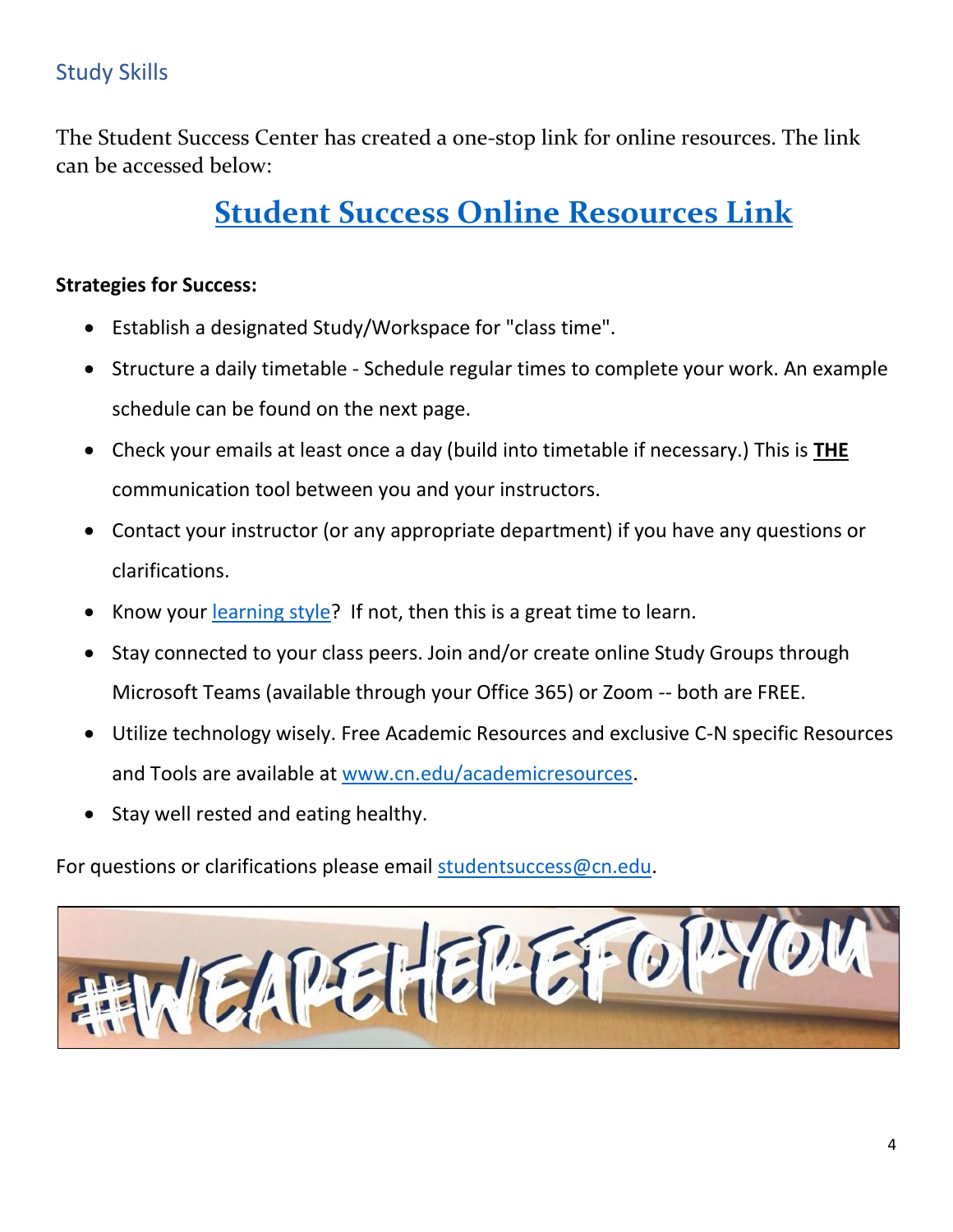# Study Skills

The Student Success Center has created a one-stop link for online resources. The link can be accessed below:

# **[Student Success Online Resources Link](https://www.cn.edu/undergraduate/resources/student-success-center/resources)**

#### **Strategies for Success:**

- Establish a designated Study/Workspace for "class time".
- Structure a daily timetable Schedule regular times to complete your work. An example schedule can be found on the next page.
- Check your emails at least once a day (build into timetable if necessary.) This is **THE** communication tool between you and your instructors.
- Contact your instructor (or any appropriate department) if you have any questions or clarifications.
- Know your [learning style?](https://www.cn.edu/libraries/tiny_mce/tiny_mce/plugins/filemanager/files/Student_Success_Center/7-styles-of-learning.jpg) If not, then this is a great time to learn.
- Stay connected to your class peers. Join and/or create online Study Groups through Microsoft Teams (available through your Office 365) or Zoom -- both are FREE.
- Utilize technology wisely. Free Academic Resources and exclusive C-N specific Resources and Tools are available at [www.cn.edu/academicresources.](https://www.cn.edu/undergraduate/resources/student-success-center/resources)
- Stay well rested and eating healthy.

For questions or clarifications please email [studentsuccess@cn.edu.](studentsuccess@cn.edu)

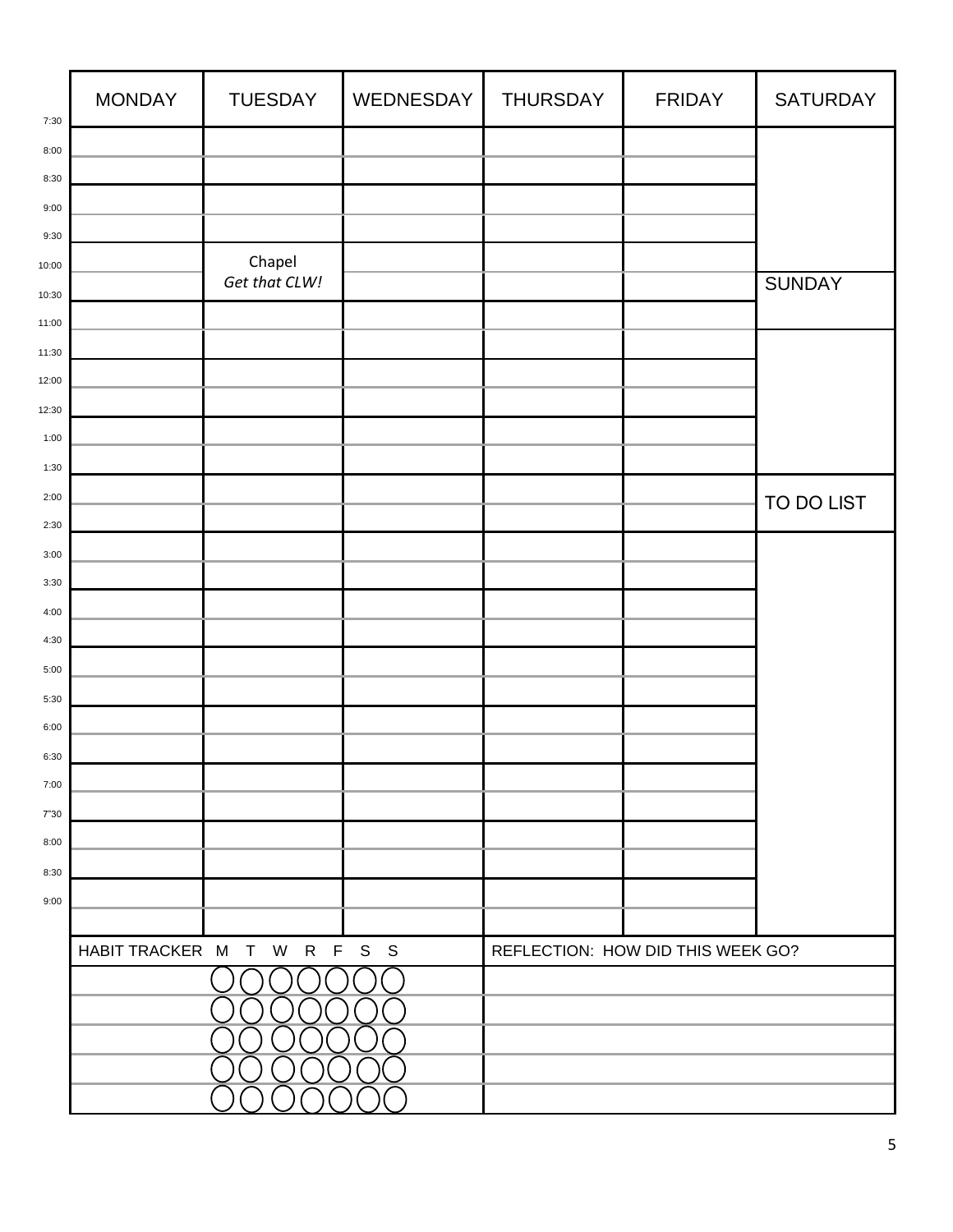| <b>MONDAY</b> | <b>TUESDAY</b> | WEDNESDAY               | <b>THURSDAY</b>             | <b>FRIDAY</b> | <b>SATURDAY</b>                   |
|---------------|----------------|-------------------------|-----------------------------|---------------|-----------------------------------|
|               |                |                         |                             |               |                                   |
|               |                |                         |                             |               |                                   |
|               |                |                         |                             |               |                                   |
|               |                |                         |                             |               |                                   |
|               |                |                         |                             |               | <b>SUNDAY</b>                     |
|               |                |                         |                             |               |                                   |
|               |                |                         |                             |               |                                   |
|               |                |                         |                             |               |                                   |
|               |                |                         |                             |               |                                   |
|               |                |                         |                             |               |                                   |
|               |                |                         |                             |               |                                   |
|               |                |                         |                             |               | TO DO LIST                        |
|               |                |                         |                             |               |                                   |
|               |                |                         |                             |               |                                   |
|               |                |                         |                             |               |                                   |
|               |                |                         |                             |               |                                   |
|               |                |                         |                             |               |                                   |
|               |                |                         |                             |               |                                   |
|               |                |                         |                             |               |                                   |
|               |                |                         |                             |               |                                   |
|               |                |                         |                             |               |                                   |
|               |                |                         |                             |               |                                   |
|               |                |                         |                             |               |                                   |
|               |                |                         |                             |               |                                   |
|               |                |                         |                             |               |                                   |
|               |                |                         |                             |               |                                   |
|               |                |                         |                             |               |                                   |
|               |                |                         |                             |               |                                   |
|               |                |                         |                             |               |                                   |
|               |                |                         |                             |               |                                   |
|               |                |                         |                             |               |                                   |
|               |                | Chapel<br>Get that CLW! | HABIT TRACKER M T W R F S S |               | REFLECTION: HOW DID THIS WEEK GO? |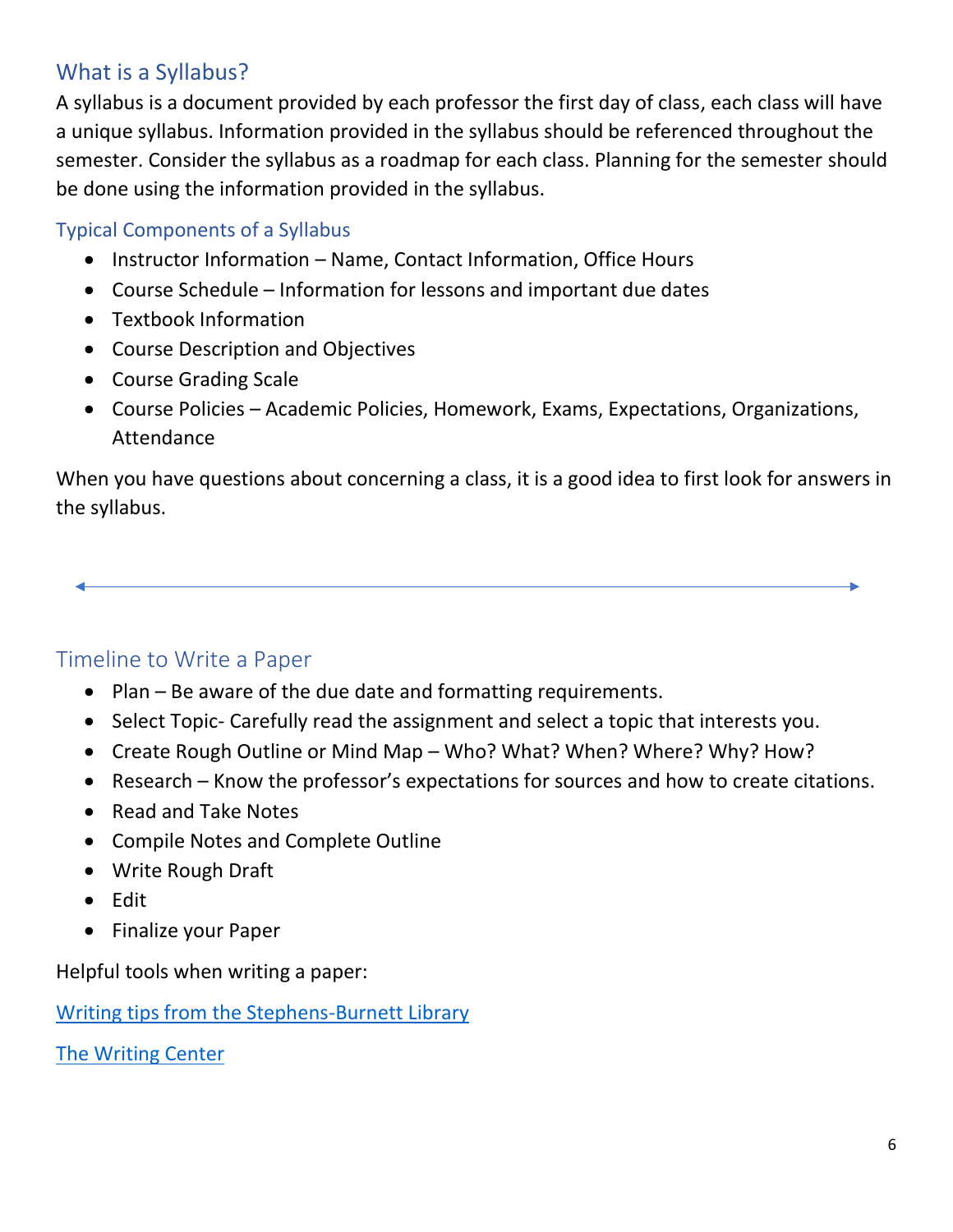# What is a Syllabus?

A syllabus is a document provided by each professor the first day of class, each class will have a unique syllabus. Information provided in the syllabus should be referenced throughout the semester. Consider the syllabus as a roadmap for each class. Planning for the semester should be done using the information provided in the syllabus.

#### Typical Components of a Syllabus

- Instructor Information Name, Contact Information, Office Hours
- Course Schedule Information for lessons and important due dates
- Textbook Information
- Course Description and Objectives
- Course Grading Scale
- Course Policies Academic Policies, Homework, Exams, Expectations, Organizations, Attendance

When you have questions about concerning a class, it is a good idea to first look for answers in the syllabus.

#### Timeline to Write a Paper

- Plan Be aware of the due date and formatting requirements.
- Select Topic- Carefully read the assignment and select a topic that interests you.
- Create Rough Outline or Mind Map Who? What? When? Where? Why? How?
- Research Know the professor's expectations for sources and how to create citations.
- Read and Take Notes
- Compile Notes and Complete Outline
- Write Rough Draft
- Edit
- Finalize your Paper

Helpful tools when writing a paper:

[Writing tips from the Stephens-Burnett Library](https://www.cn.edu/undergraduate/resources/library/publications/writing-at-c-n/table-of-contents)

[The Writing Center](https://www.cn.edu/undergraduate/resources/student-success-center/the-writing-center)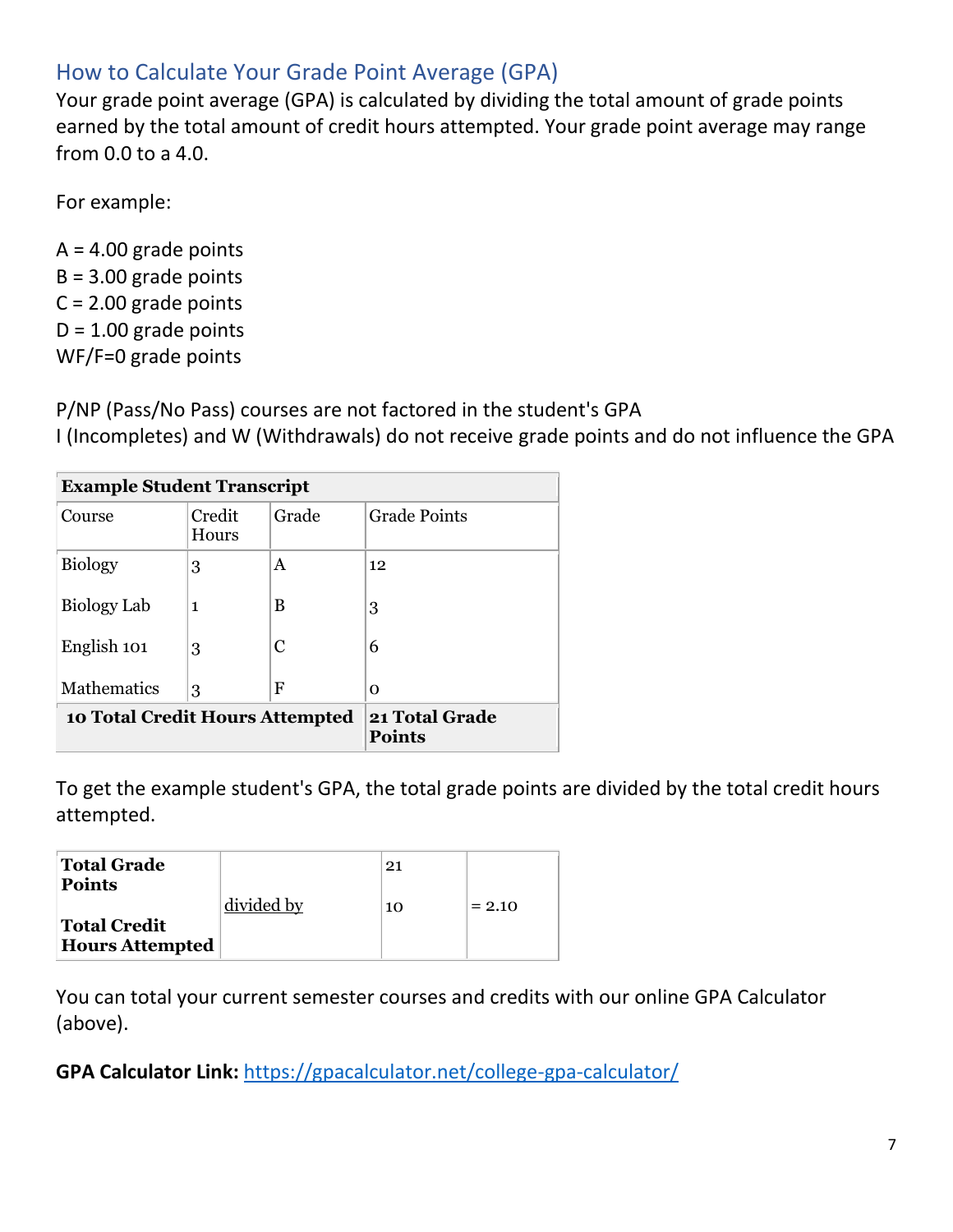# How to Calculate Your Grade Point Average (GPA)

Your grade point average (GPA) is calculated by dividing the total amount of grade points earned by the total amount of credit hours attempted. Your grade point average may range from 0.0 to a 4.0.

For example:

 $A = 4.00$  grade points  $B = 3.00$  grade points  $C = 2.00$  grade points  $D = 1.00$  grade points WF/F=0 grade points

P/NP (Pass/No Pass) courses are not factored in the student's GPA I (Incompletes) and W (Withdrawals) do not receive grade points and do not influence the GPA

| <b>Example Student Transcript</b> |                 |            |                                 |  |
|-----------------------------------|-----------------|------------|---------------------------------|--|
| Course                            | Credit<br>Hours | Grade      | <b>Grade Points</b>             |  |
| <b>Biology</b>                    | 3               | A          | 12                              |  |
| Biology Lab                       | 1               | B          | 3                               |  |
| English 101                       | 3               | C          | 6                               |  |
| <b>Mathematics</b>                | 3               | $_{\rm F}$ | 0                               |  |
| 10 Total Credit Hours Attempted   |                 |            | 21 Total Grade<br><b>Points</b> |  |

To get the example student's GPA, the total grade points are divided by the total credit hours attempted.

| <b>Total Grade</b><br><b>Points</b>           | divided by | 21 |          |
|-----------------------------------------------|------------|----|----------|
| <b>Total Credit</b><br><b>Hours Attempted</b> |            | 10 | $= 2.10$ |

You can total your current semester courses and credits with our online GPA Calculator (above).

**GPA Calculator Link:** <https://gpacalculator.net/college-gpa-calculator/>